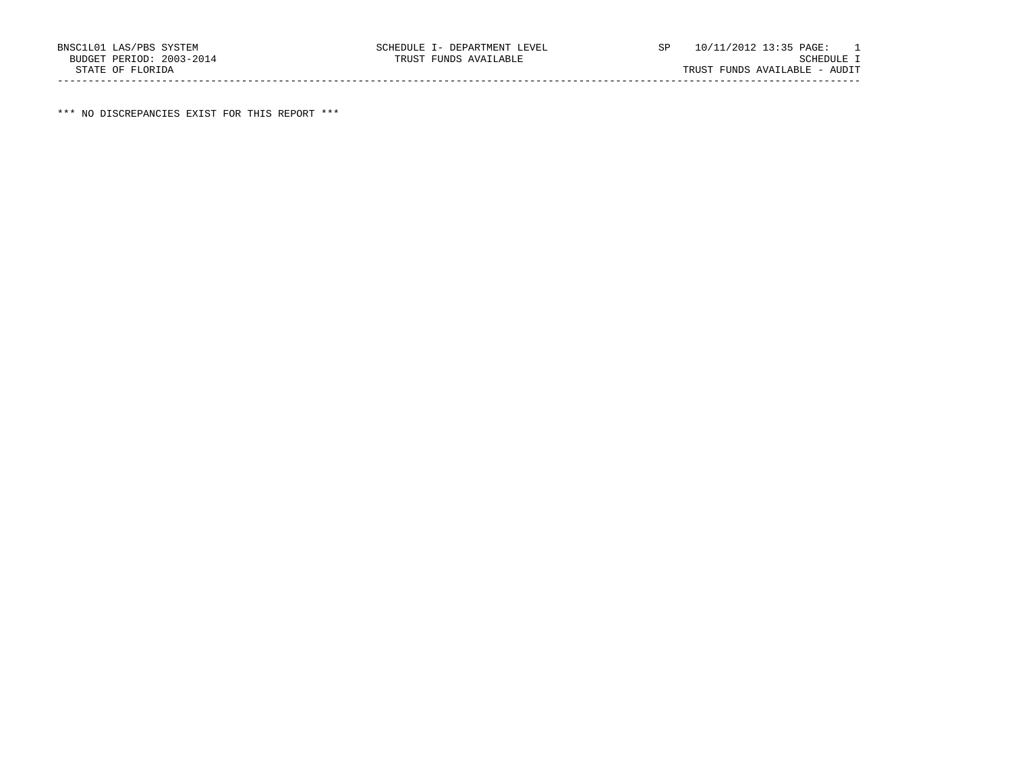\*\*\* NO DISCREPANCIES EXIST FOR THIS REPORT \*\*\*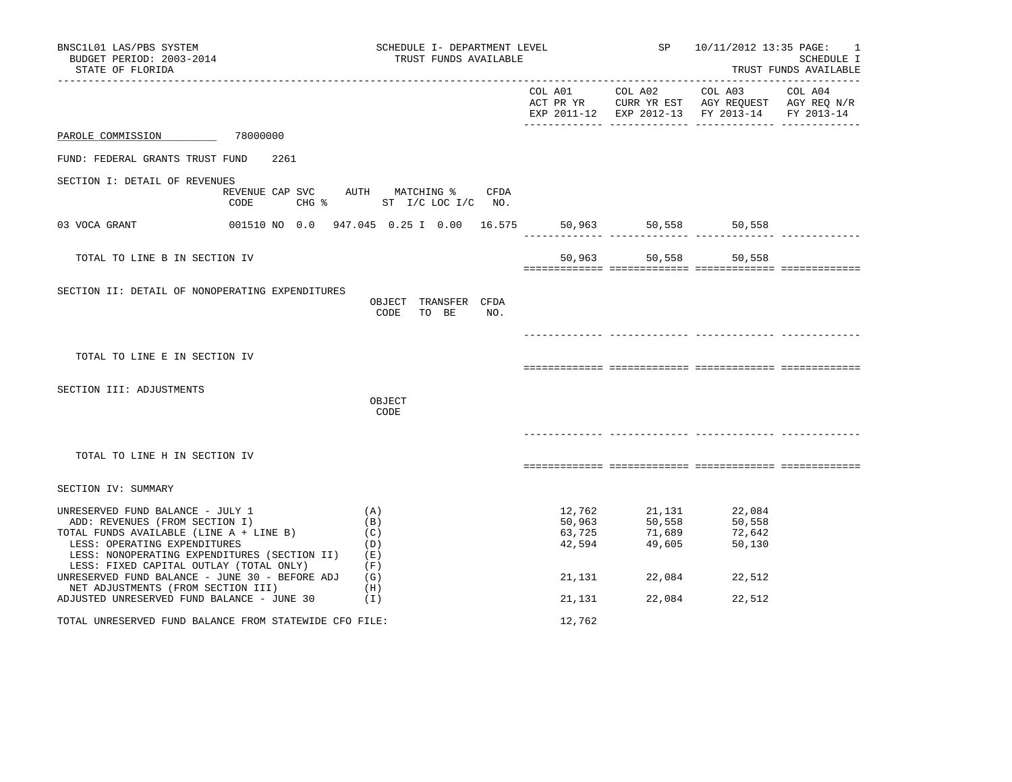| BNSC1L01 LAS/PBS SYSTEM<br>BUDGET PERIOD: 2003-2014<br>STATE OF FLORIDA                                                                                                                                                                  |                         | SCHEDULE I- DEPARTMENT LEVEL<br>TRUST FUNDS AVAILABLE | ____________________________         |                                      | SP 10/11/2012 13:35 PAGE:                                                                                                      | $\sim$ 1<br>SCHEDULE I<br>TRUST FUNDS AVAILABLE |
|------------------------------------------------------------------------------------------------------------------------------------------------------------------------------------------------------------------------------------------|-------------------------|-------------------------------------------------------|--------------------------------------|--------------------------------------|--------------------------------------------------------------------------------------------------------------------------------|-------------------------------------------------|
|                                                                                                                                                                                                                                          |                         |                                                       |                                      |                                      | COL A01 COL A02 COL A03 COL A04<br>ACT PR YR CURR YR EST AGY REQUEST AGY REQ N/R EXP 2011-12 EXP 2012-13 FY 2013-14 FY 2013-14 |                                                 |
| PAROLE COMMISSION                                                                                                                                                                                                                        | 78000000                |                                                       |                                      |                                      |                                                                                                                                |                                                 |
| FUND: FEDERAL GRANTS TRUST FUND                                                                                                                                                                                                          | 2261                    |                                                       |                                      |                                      |                                                                                                                                |                                                 |
| SECTION I: DETAIL OF REVENUES                                                                                                                                                                                                            | REVENUE CAP SVC<br>CODE | AUTH MATCHING %<br>CFDA<br>CHG % ST I/C LOC I/C NO.   |                                      |                                      |                                                                                                                                |                                                 |
| 03 VOCA GRANT                                                                                                                                                                                                                            |                         | 001510 NO 0.0 947.045 0.25 I 0.00 16.575              |                                      | 50,963 50,558                        | 50,558                                                                                                                         |                                                 |
| TOTAL TO LINE B IN SECTION IV                                                                                                                                                                                                            |                         |                                                       | 50,963                               | 50,558                               | 50,558                                                                                                                         |                                                 |
| SECTION II: DETAIL OF NONOPERATING EXPENDITURES                                                                                                                                                                                          |                         | OBJECT TRANSFER CFDA<br>CODE<br>TO BE<br>NO.          |                                      |                                      |                                                                                                                                |                                                 |
| TOTAL TO LINE E IN SECTION IV                                                                                                                                                                                                            |                         |                                                       |                                      |                                      |                                                                                                                                |                                                 |
| SECTION III: ADJUSTMENTS                                                                                                                                                                                                                 |                         | OBJECT<br>CODE                                        |                                      |                                      |                                                                                                                                |                                                 |
| TOTAL TO LINE H IN SECTION IV                                                                                                                                                                                                            |                         |                                                       |                                      |                                      |                                                                                                                                |                                                 |
| SECTION IV: SUMMARY                                                                                                                                                                                                                      |                         |                                                       |                                      |                                      |                                                                                                                                |                                                 |
| UNRESERVED FUND BALANCE - JULY 1<br>ADD: REVENUES (FROM SECTION I)<br>TOTAL FUNDS AVAILABLE (LINE A + LINE B)<br>LESS: OPERATING EXPENDITURES<br>LESS: NONOPERATING EXPENDITURES (SECTION II)<br>LESS: FIXED CAPITAL OUTLAY (TOTAL ONLY) |                         | (A)<br>(B)<br>(C)<br>(D)<br>(E)<br>(F)                | 12,762<br>50,963<br>63,725<br>42,594 | 21,131<br>50,558<br>71,689<br>49,605 | 22,084<br>50,558<br>72,642<br>50,130                                                                                           |                                                 |
| UNRESERVED FUND BALANCE - JUNE 30 - BEFORE ADJ $(G)$<br>NET ADJUSTMENTS (FROM SECTION III)                                                                                                                                               |                         | (H)                                                   | 21,131                               | 22,084                               | 22,512                                                                                                                         |                                                 |
| ADJUSTED UNRESERVED FUND BALANCE - JUNE 30                                                                                                                                                                                               |                         | (1)                                                   | 21,131                               | 22,084                               | 22,512                                                                                                                         |                                                 |
| TOTAL UNRESERVED FUND BALANCE FROM STATEWIDE CFO FILE:                                                                                                                                                                                   |                         |                                                       | 12,762                               |                                      |                                                                                                                                |                                                 |